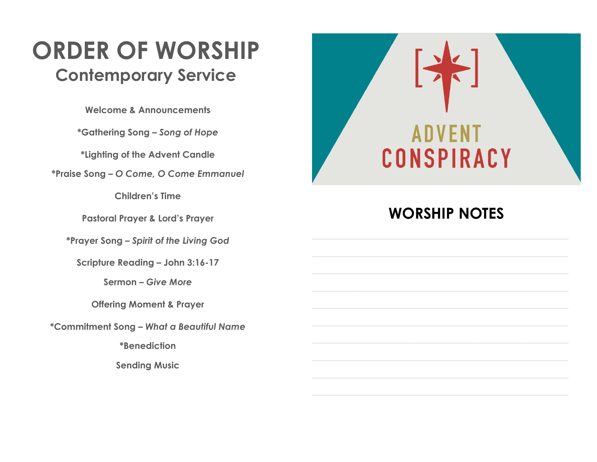## **ORDER OF WORSHIP Contemporary Service**

**Welcome & Announcements**

**\*Gathering Song ²** *Song of Hope*

**\*Lighting of the Advent Candle**

**\*Praise Song ²** *O Come, O Come Emmanuel*

**Children's Time** 

**Pastoral Prayer & Lord's Prayer** 

**\*Prayer Song ²** *Spirit of the Living God*

**Scripture Reading - John 3:16-17** 

Sermon – Give More

**Offering Moment & Prayer**

**\*Commitment Song ²** *What a Beautiful Name*

**\*Benediction**

**Sending Music**



### **WORSHIP NOTES**